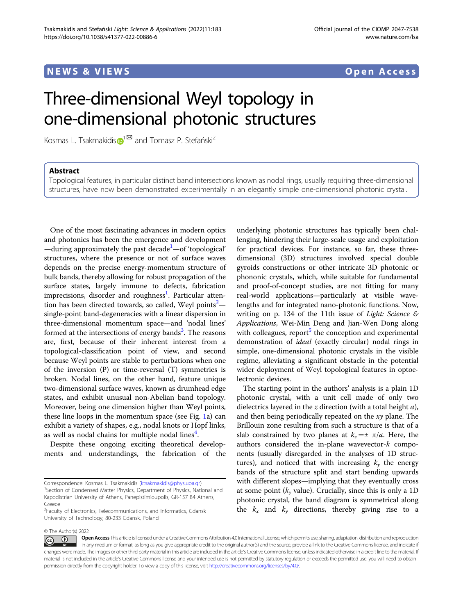# NEWS & VIEWS Open Access

# Three-dimensional Weyl topology in one-dimensional photonic structures

Ko[s](http://orcid.org/0000-0003-2141-1338)mas L. Tsakmakidis  $\mathbb{D}^{1\boxtimes}$  $\mathbb{D}^{1\boxtimes}$  $\mathbb{D}^{1\boxtimes}$  and Tomasz P. Stefański<sup>2</sup>

# Abstract

Topological features, in particular distinct band intersections known as nodal rings, usually requiring three-dimensional structures, have now been demonstrated experimentally in an elegantly simple one-dimensional photonic crystal.

One of the most fascinating advances in modern optics and photonics has been the emergence and development -during approximately the past decade<sup>[1](#page-1-0)</sup>-of 'topological' structures, where the presence or not of surface waves depends on the precise energy-momentum structure of bulk bands, thereby allowing for robust propagation of the surface states, largely immune to defects, fabrication imprecisions, disorder and roughness<sup>[1](#page-1-0)</sup>. Particular atten-tion has been directed towards, so called, Weyl points<sup>[2](#page-1-0)</sup>single-point band-degeneracies with a linear dispersion in three-dimensional momentum space—and 'nodal lines' formed at the intersections of energy bands<sup>[3](#page-1-0)</sup>. The reasons are, first, because of their inherent interest from a topological-classification point of view, and second because Weyl points are stable to perturbations when one of the inversion (P) or time-reversal (T) symmetries is broken. Nodal lines, on the other hand, feature unique two-dimensional surface waves, known as drumhead edge states, and exhibit unusual non-Abelian band topology. Moreover, being one dimension higher than Weyl points, these line loops in the momentum space (see Fig. [1a](#page-1-0)) can exhibit a variety of shapes, e.g., nodal knots or Hopf links, as well as nodal chains for multiple nodal lines<sup>[4](#page-1-0)</sup>.

Despite these ongoing exciting theoretical developments and understandings, the fabrication of the

<sup>1</sup> Section of Condensed Matter Physics, Department of Physics, National and Kapodistrian University of Athens, Panepistimioupolis, GR-157 84 Athens, Greece

underlying photonic structures has typically been challenging, hindering their large-scale usage and exploitation for practical devices. For instance, so far, these threedimensional (3D) structures involved special double gyroids constructions or other intricate 3D photonic or phononic crystals, which, while suitable for fundamental and proof-of-concept studies, are not fitting for many real-world applications—particularly at visible wavelengths and for integrated nano-photonic functions. Now, writing on p. 134 of the 11th issue of Light: Science  $\varepsilon$ Applications, Wei-Min Deng and Jian-Wen Dong along with colleagues, report $5$  the conception and experimental demonstration of ideal (exactly circular) nodal rings in simple, one-dimensional photonic crystals in the visible regime, alleviating a significant obstacle in the potential wider deployment of Weyl topological features in optoelectronic devices.

The starting point in the authors' analysis is a plain 1D photonic crystal, with a unit cell made of only two dielectrics layered in the  $z$  direction (with a total height  $a$ ), and then being periodically repeated on the  $xy$  plane. The Brillouin zone resulting from such a structure is that of a slab constrained by two planes at  $k_z = \pm \pi/a$ . Here, the authors considered the in-plane wavevector-k components (usually disregarded in the analyses of 1D structures), and noticed that with increasing  $k_v$  the energy bands of the structure split and start bending upwards with different slopes—implying that they eventually cross at some point  $(k_v \text{ value})$ . Crucially, since this is only a 1D photonic crystal, the band diagram is symmetrical along the  $k_x$  and  $k_y$  directions, thereby giving rise to a

© The Author(s) 2022

Correspondence: Kosmas L. Tsakmakidis [\(ktsakmakidis@phys.uoa.gr\)](mailto:ktsakmakidis@phys.uoa.gr) <sup>1</sup>

<sup>&</sup>lt;sup>2</sup> Faculty of Electronics, Telecommunications, and Informatics, Gdansk University of Technology, 80-233 Gdansk, Poland

Open Access This article is licensed under a Creative Commons Attribution 4.0 International License, which permits use, sharing, adaptation, distribution and reproduction  $\odot$ (i) in any medium or format, as long as you give appropriate credit to the original author(s) and the source, provide a link to the Creative Commons license, and indicate if changes were made. The images or other third party material in this article are included in the article's Creative Commons license, unless indicated otherwise in a credit line to the material. If material is not included in the article's Creative Commons license and your intended use is not permitted by statutory regulation or exceeds the permitted use, you will need to obtain permission directly from the copyright holder. To view a copy of this license, visit <http://creativecommons.org/licenses/by/4.0/>.